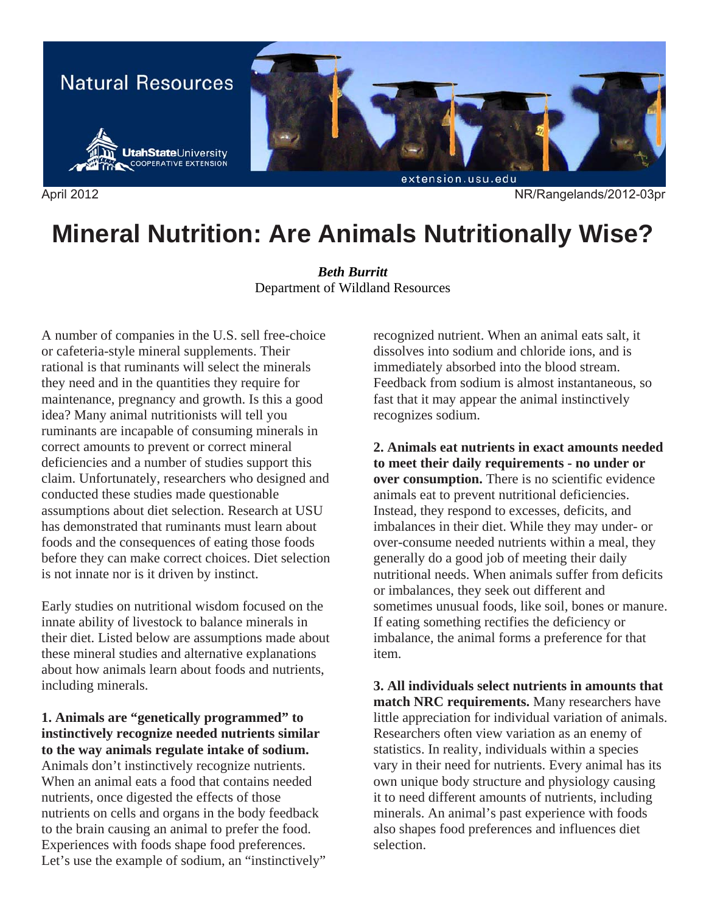

April 2012 NR/Rangelands/2012-03pr

# **Mineral Nutrition: Are Animals Nutritionally Wise?**

*Beth Burritt*  Department of Wildland Resources

A number of companies in the U.S. sell free-choice or cafeteria-style mineral supplements. Their rational is that ruminants will select the minerals they need and in the quantities they require for maintenance, pregnancy and growth. Is this a good idea? Many animal nutritionists will tell you ruminants are incapable of consuming minerals in correct amounts to prevent or correct mineral deficiencies and a number of studies support this claim. Unfortunately, researchers who designed and conducted these studies made questionable assumptions about diet selection. Research at USU has demonstrated that ruminants must learn about foods and the consequences of eating those foods before they can make correct choices. Diet selection is not innate nor is it driven by instinct.

Early studies on nutritional wisdom focused on the innate ability of livestock to balance minerals in their diet. Listed below are assumptions made about these mineral studies and alternative explanations about how animals learn about foods and nutrients, including minerals.

## **1. Animals are "genetically programmed" to instinctively recognize needed nutrients similar to the way animals regulate intake of sodium.**

Animals don't instinctively recognize nutrients. When an animal eats a food that contains needed nutrients, once digested the effects of those nutrients on cells and organs in the body feedback to the brain causing an animal to prefer the food. Experiences with foods shape food preferences. Let's use the example of sodium, an "instinctively" recognized nutrient. When an animal eats salt, it dissolves into sodium and chloride ions, and is immediately absorbed into the blood stream. Feedback from sodium is almost instantaneous, so fast that it may appear the animal instinctively recognizes sodium.

**2. Animals eat nutrients in exact amounts needed to meet their daily requirements - no under or over consumption.** There is no scientific evidence animals eat to prevent nutritional deficiencies. Instead, they respond to excesses, deficits, and imbalances in their diet. While they may under- or over-consume needed nutrients within a meal, they generally do a good job of meeting their daily nutritional needs. When animals suffer from deficits or imbalances, they seek out different and sometimes unusual foods, like soil, bones or manure. If eating something rectifies the deficiency or imbalance, the animal forms a preference for that item.

**3. All individuals select nutrients in amounts that match NRC requirements.** Many researchers have little appreciation for individual variation of animals. Researchers often view variation as an enemy of statistics. In reality, individuals within a species vary in their need for nutrients. Every animal has its own unique body structure and physiology causing it to need different amounts of nutrients, including minerals. An animal's past experience with foods also shapes food preferences and influences diet selection.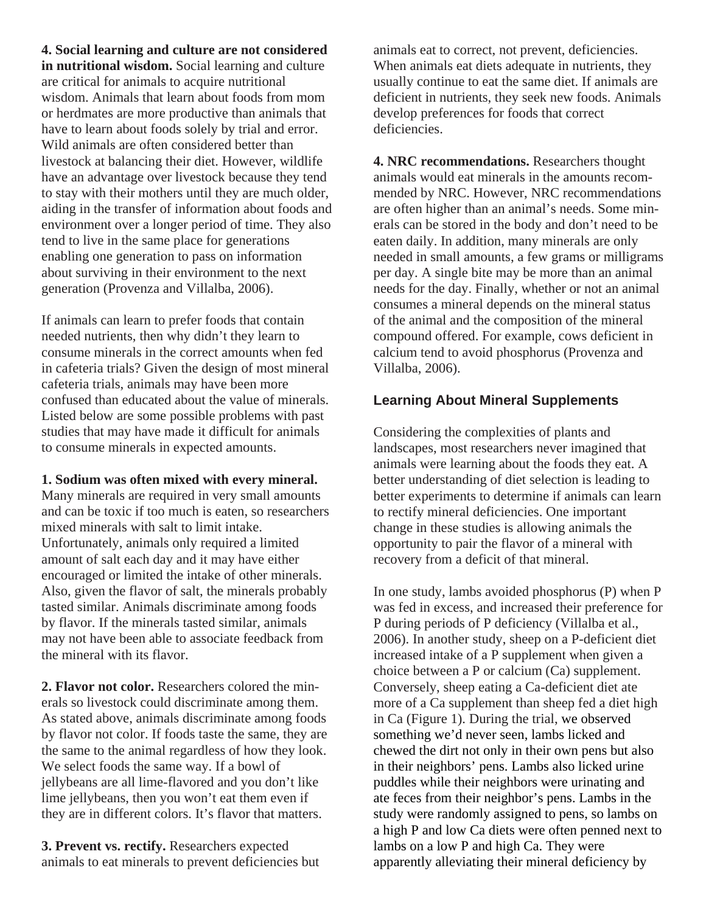**4. Social learning and culture are not considered in nutritional wisdom.** Social learning and culture are critical for animals to acquire nutritional wisdom. Animals that learn about foods from mom or herdmates are more productive than animals that have to learn about foods solely by trial and error. Wild animals are often considered better than livestock at balancing their diet. However, wildlife have an advantage over livestock because they tend to stay with their mothers until they are much older, aiding in the transfer of information about foods and environment over a longer period of time. They also tend to live in the same place for generations enabling one generation to pass on information about surviving in their environment to the next generation (Provenza and Villalba, 2006).

If animals can learn to prefer foods that contain needed nutrients, then why didn't they learn to consume minerals in the correct amounts when fed in cafeteria trials? Given the design of most mineral cafeteria trials, animals may have been more confused than educated about the value of minerals. Listed below are some possible problems with past studies that may have made it difficult for animals to consume minerals in expected amounts.

#### **1. Sodium was often mixed with every mineral.**

Many minerals are required in very small amounts and can be toxic if too much is eaten, so researchers mixed minerals with salt to limit intake. Unfortunately, animals only required a limited amount of salt each day and it may have either encouraged or limited the intake of other minerals. Also, given the flavor of salt, the minerals probably tasted similar. Animals discriminate among foods by flavor. If the minerals tasted similar, animals may not have been able to associate feedback from the mineral with its flavor.

**2. Flavor not color.** Researchers colored the minerals so livestock could discriminate among them. As stated above, animals discriminate among foods by flavor not color. If foods taste the same, they are the same to the animal regardless of how they look. We select foods the same way. If a bowl of jellybeans are all lime-flavored and you don't like lime jellybeans, then you won't eat them even if they are in different colors. It's flavor that matters.

**3. Prevent vs. rectify.** Researchers expected animals to eat minerals to prevent deficiencies but animals eat to correct, not prevent, deficiencies. When animals eat diets adequate in nutrients, they usually continue to eat the same diet. If animals are deficient in nutrients, they seek new foods. Animals develop preferences for foods that correct deficiencies.

**4. NRC recommendations.** Researchers thought animals would eat minerals in the amounts recommended by NRC. However, NRC recommendations are often higher than an animal's needs. Some minerals can be stored in the body and don't need to be eaten daily. In addition, many minerals are only needed in small amounts, a few grams or milligrams per day. A single bite may be more than an animal needs for the day. Finally, whether or not an animal consumes a mineral depends on the mineral status of the animal and the composition of the mineral compound offered. For example, cows deficient in calcium tend to avoid phosphorus (Provenza and Villalba, 2006).

## **Learning About Mineral Supplements**

Considering the complexities of plants and landscapes, most researchers never imagined that animals were learning about the foods they eat. A better understanding of diet selection is leading to better experiments to determine if animals can learn to rectify mineral deficiencies. One important change in these studies is allowing animals the opportunity to pair the flavor of a mineral with recovery from a deficit of that mineral.

In one study, lambs avoided phosphorus (P) when P was fed in excess, and increased their preference for P during periods of P deficiency (Villalba et al., 2006). In another study, sheep on a P-deficient diet increased intake of a P supplement when given a choice between a P or calcium (Ca) supplement. Conversely, sheep eating a Ca-deficient diet ate more of a Ca supplement than sheep fed a diet high in Ca (Figure 1). During the trial, we observed something we'd never seen, lambs licked and chewed the dirt not only in their own pens but also in their neighbors' pens. Lambs also licked urine puddles while their neighbors were urinating and ate feces from their neighbor's pens. Lambs in the study were randomly assigned to pens, so lambs on a high P and low Ca diets were often penned next to lambs on a low P and high Ca. They were apparently alleviating their mineral deficiency by